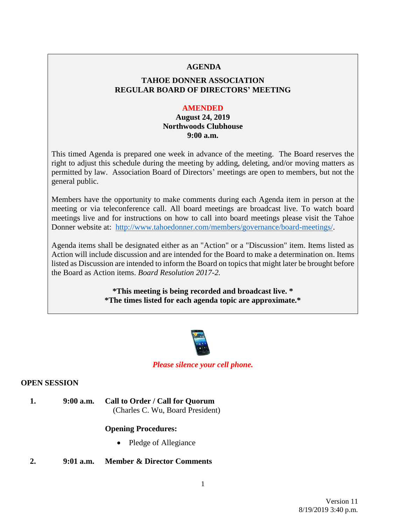### **AGENDA**

# **TAHOE DONNER ASSOCIATION REGULAR BOARD OF DIRECTORS' MEETING**

#### **AMENDED**

# **August 24, 2019 Northwoods Clubhouse 9:00 a.m.**

This timed Agenda is prepared one week in advance of the meeting. The Board reserves the right to adjust this schedule during the meeting by adding, deleting, and/or moving matters as permitted by law. Association Board of Directors' meetings are open to members, but not the general public.

Members have the opportunity to make comments during each Agenda item in person at the meeting or via teleconference call. All board meetings are broadcast live. To watch board meetings live and for instructions on how to call into board meetings please visit the Tahoe Donner website at: [http://www.tahoedonner.com/members/governance/board-meetings/.](http://www.tahoedonner.com/members/governance/board-meetings/)

Agenda items shall be designated either as an "Action" or a "Discussion" item. Items listed as Action will include discussion and are intended for the Board to make a determination on. Items listed as Discussion are intended to inform the Board on topics that might later be brought before the Board as Action items. *Board Resolution 2017-2.*

> **\*This meeting is being recorded and broadcast live. \* \*The times listed for each agenda topic are approximate.\***



### *Please silence your cell phone.*

## **OPEN SESSION**

**1. 9:00 a.m. Call to Order / Call for Quorum** (Charles C. Wu, Board President)

### **Opening Procedures:**

- Pledge of Allegiance
- **2. 9:01 a.m. Member & Director Comments**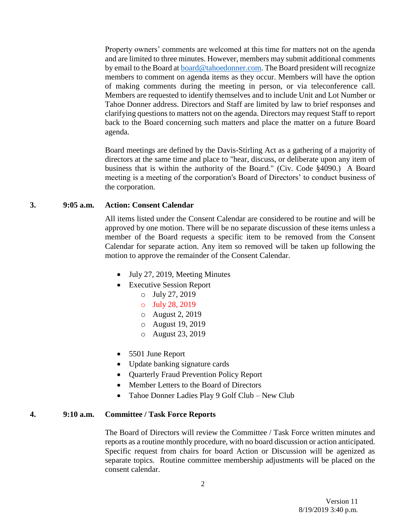Property owners' comments are welcomed at this time for matters not on the agenda and are limited to three minutes. However, members may submit additional comments by email to the Board at [board@tahoedonner.com.](mailto:board@tahoedonner.com) The Board president will recognize members to comment on agenda items as they occur. Members will have the option of making comments during the meeting in person, or via teleconference call. Members are requested to identify themselves and to include Unit and Lot Number or Tahoe Donner address. Directors and Staff are limited by law to brief responses and clarifying questions to matters not on the agenda. Directors may request Staff to report back to the Board concerning such matters and place the matter on a future Board agenda.

Board meetings are defined by the Davis-Stirling Act as a gathering of a majority of directors at the same time and place to "hear, discuss, or deliberate upon any item of business that is within the authority of the Board." (Civ. Code §4090.) A Board meeting is a meeting of the corporation's Board of Directors' to conduct business of the corporation.

#### **3. 9:05 a.m. Action: Consent Calendar**

All items listed under the Consent Calendar are considered to be routine and will be approved by one motion. There will be no separate discussion of these items unless a member of the Board requests a specific item to be removed from the Consent Calendar for separate action. Any item so removed will be taken up following the motion to approve the remainder of the Consent Calendar.

- July 27, 2019, Meeting Minutes
- Executive Session Report
	- o July 27, 2019
	- o July 28, 2019
	- o August 2, 2019
	- o August 19, 2019
	- o August 23, 2019
- 5501 June Report
- Update banking signature cards
- Quarterly Fraud Prevention Policy Report
- Member Letters to the Board of Directors
- Tahoe Donner Ladies Play 9 Golf Club New Club

#### **4. 9:10 a.m. Committee / Task Force Reports**

The Board of Directors will review the Committee / Task Force written minutes and reports as a routine monthly procedure, with no board discussion or action anticipated. Specific request from chairs for board Action or Discussion will be agenized as separate topics. Routine committee membership adjustments will be placed on the consent calendar.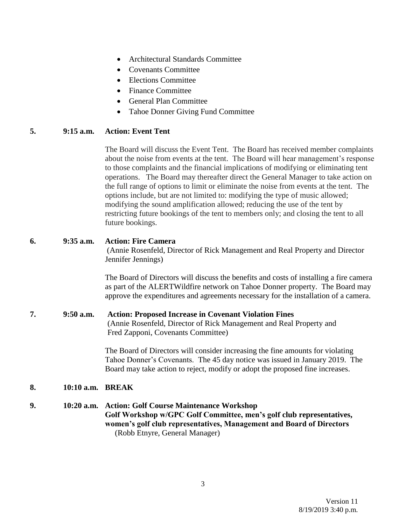- Architectural Standards Committee
- Covenants Committee
- Elections Committee
- Finance Committee
- General Plan Committee
- Tahoe Donner Giving Fund Committee

## **5. 9:15 a.m. Action: Event Tent**

The Board will discuss the Event Tent. The Board has received member complaints about the noise from events at the tent. The Board will hear management's response to those complaints and the financial implications of modifying or eliminating tent operations. The Board may thereafter direct the General Manager to take action on the full range of options to limit or eliminate the noise from events at the tent. The options include, but are not limited to: modifying the type of music allowed; modifying the sound amplification allowed; reducing the use of the tent by restricting future bookings of the tent to members only; and closing the tent to all future bookings.

# **6. 9:35 a.m. Action: Fire Camera**

(Annie Rosenfeld, Director of Rick Management and Real Property and Director Jennifer Jennings)

The Board of Directors will discuss the benefits and costs of installing a fire camera as part of the ALERTWildfire network on Tahoe Donner property. The Board may approve the expenditures and agreements necessary for the installation of a camera.

### **7. 9:50 a.m. Action: Proposed Increase in Covenant Violation Fines** (Annie Rosenfeld, Director of Rick Management and Real Property and Fred Zapponi, Covenants Committee)

The Board of Directors will consider increasing the fine amounts for violating Tahoe Donner's Covenants. The 45 day notice was issued in January 2019. The Board may take action to reject, modify or adopt the proposed fine increases.

# **8. 10:10 a.m. BREAK**

**9. 10:20 a.m. Action: Golf Course Maintenance Workshop Golf Workshop w/GPC Golf Committee, men's golf club representatives, women's golf club representatives, Management and Board of Directors** (Robb Etnyre, General Manager)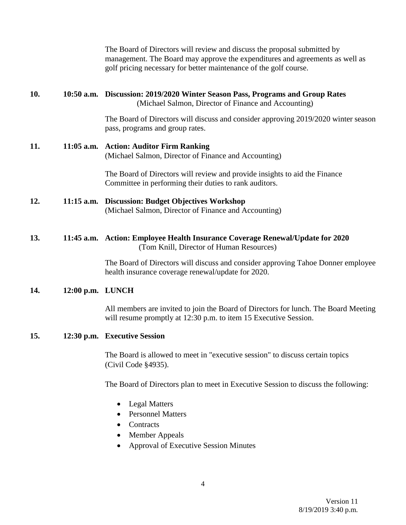| management. The Board may approve the expenditures and agreements as well as<br>golf pricing necessary for better maintenance of the golf course.       |
|---------------------------------------------------------------------------------------------------------------------------------------------------------|
| 10:50 a.m. Discussion: 2019/2020 Winter Season Pass, Programs and Group Rates<br>(Michael Salmon, Director of Finance and Accounting)                   |
| The Board of Directors will discuss and consider approving 2019/2020 winter season                                                                      |
| (Michael Salmon, Director of Finance and Accounting)                                                                                                    |
| The Board of Directors will review and provide insights to aid the Finance<br>Committee in performing their duties to rank auditors.                    |
| <b>Discussion: Budget Objectives Workshop</b><br>(Michael Salmon, Director of Finance and Accounting)                                                   |
| 11:45 a.m. Action: Employee Health Insurance Coverage Renewal/Update for 2020<br>(Tom Knill, Director of Human Resources)                               |
| The Board of Directors will discuss and consider approving Tahoe Donner employee<br>health insurance coverage renewal/update for 2020.                  |
|                                                                                                                                                         |
| All members are invited to join the Board of Directors for lunch. The Board Meeting<br>will resume promptly at 12:30 p.m. to item 15 Executive Session. |
|                                                                                                                                                         |
| The Board is allowed to meet in "executive session" to discuss certain topics                                                                           |
| The Board of Directors plan to meet in Executive Session to discuss the following:                                                                      |
| <b>Approval of Executive Session Minutes</b>                                                                                                            |
|                                                                                                                                                         |